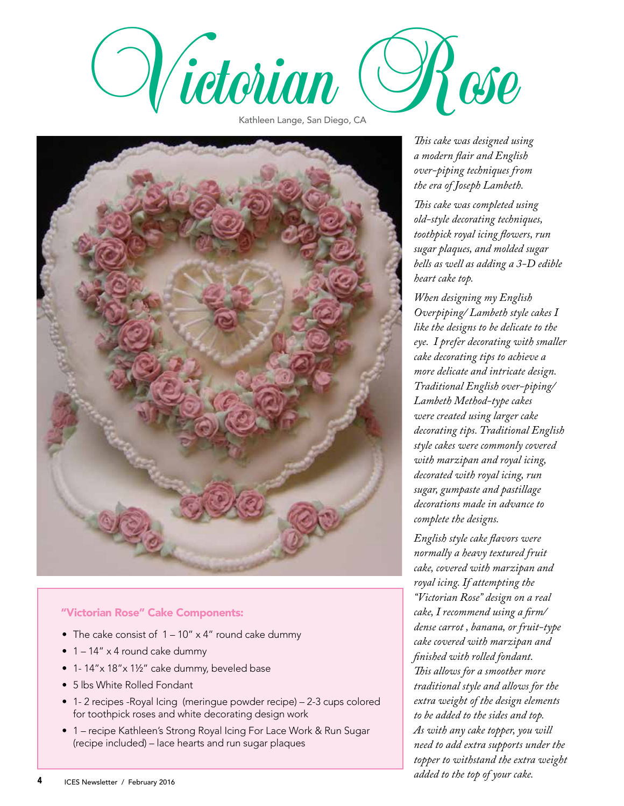

Kathleen Lange, San Diego, CA



## "Victorian Rose" Cake Components:

- The cake consist of  $1 10'' \times 4''$  round cake dummy
- $\bullet$  1 14" x 4 round cake dummy
- 1- 14"x 18"x 1½" cake dummy, beveled base
- 5 lbs White Rolled Fondant
- 1- 2 recipes -Royal Icing (meringue powder recipe) 2-3 cups colored for toothpick roses and white decorating design work
- 1 recipe Kathleen's Strong Royal Icing For Lace Work & Run Sugar (recipe included) – lace hearts and run sugar plaques

*This cake was designed using a modern flair and English over-piping techniques from the era of Joseph Lambeth.* 

*This cake was completed using old-style decorating techniques, toothpick royal icing flowers, run sugar plaques, and molded sugar bells as well as adding a 3-D edible heart cake top.*

*When designing my English Overpiping/ Lambeth style cakes I like the designs to be delicate to the eye. I prefer decorating with smaller cake decorating tips to achieve a more delicate and intricate design. Traditional English over-piping/ Lambeth Method-type cakes were created using larger cake decorating tips. Traditional English style cakes were commonly covered with marzipan and royal icing, decorated with royal icing, run sugar, gumpaste and pastillage decorations made in advance to complete the designs.* 

*English style cake flavors were normally a heavy textured fruit cake, covered with marzipan and royal icing. If attempting the "Victorian Rose" design on a real cake, I recommend using a firm/ dense carrot , banana, or fruit-type cake covered with marzipan and finished with rolled fondant. This allows for a smoother more traditional style and allows for the extra weight of the design elements to be added to the sides and top. As with any cake topper, you will need to add extra supports under the topper to withstand the extra weight added to the top of your cake.*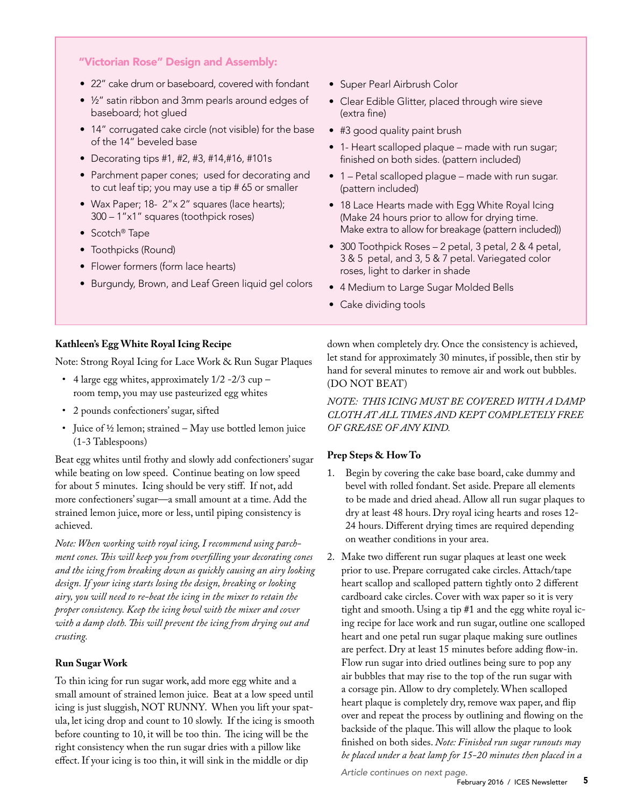## "Victorian Rose" Design and Assembly:

- 22" cake drum or baseboard, covered with fondant
- ½" satin ribbon and 3mm pearls around edges of baseboard; hot glued
- 14" corrugated cake circle (not visible) for the base of the 14" beveled base
- Decorating tips #1, #2, #3, #14,#16, #101s
- Parchment paper cones; used for decorating and to cut leaf tip; you may use a tip # 65 or smaller
- Wax Paper; 18- 2"x 2" squares (lace hearts); 300 – 1"x1" squares (toothpick roses)
- Scotch® Tape
- Toothpicks (Round)
- Flower formers (form lace hearts)
- Burgundy, Brown, and Leaf Green liquid gel colors
- Super Pearl Airbrush Color
- Clear Edible Glitter, placed through wire sieve (extra fine)
- #3 good quality paint brush
- 1- Heart scalloped plaque made with run sugar; finished on both sides. (pattern included)
- 1 Petal scalloped plague made with run sugar. (pattern included)
- 18 Lace Hearts made with Egg White Royal Icing (Make 24 hours prior to allow for drying time. Make extra to allow for breakage (pattern included))
- 300 Toothpick Roses 2 petal, 3 petal, 2 & 4 petal, 3 & 5 petal, and 3, 5 & 7 petal. Variegated color roses, light to darker in shade
- 4 Medium to Large Sugar Molded Bells
- Cake dividing tools

#### **Kathleen's Egg White Royal Icing Recipe**

Note: Strong Royal Icing for Lace Work & Run Sugar Plaques

- 4 large egg whites, approximately 1/2 -2/3 cup room temp, you may use pasteurized egg whites
- 2 pounds confectioners' sugar, sifted
- Juice of ½ lemon; strained May use bottled lemon juice (1-3 Tablespoons)

Beat egg whites until frothy and slowly add confectioners' sugar while beating on low speed. Continue beating on low speed for about 5 minutes. Icing should be very stiff. If not, add more confectioners' sugar—a small amount at a time. Add the strained lemon juice, more or less, until piping consistency is achieved.

*Note: When working with royal icing, I recommend using parchment cones. This will keep you from overfilling your decorating cones and the icing from breaking down as quickly causing an airy looking design. If your icing starts losing the design, breaking or looking airy, you will need to re-beat the icing in the mixer to retain the proper consistency. Keep the icing bowl with the mixer and cover with a damp cloth. This will prevent the icing from drying out and crusting.*

#### **Run Sugar Work**

To thin icing for run sugar work, add more egg white and a small amount of strained lemon juice. Beat at a low speed until icing is just sluggish, NOT RUNNY. When you lift your spatula, let icing drop and count to 10 slowly. If the icing is smooth before counting to 10, it will be too thin. The icing will be the right consistency when the run sugar dries with a pillow like effect. If your icing is too thin, it will sink in the middle or dip

down when completely dry. Once the consistency is achieved, let stand for approximately 30 minutes, if possible, then stir by hand for several minutes to remove air and work out bubbles. (DO NOT BEAT)

*NOTE: THIS ICING MUST BE COVERED WITH A DAMP CLOTH AT ALL TIMES AND KEPT COMPLETELY FREE OF GREASE OF ANY KIND.*

#### **Prep Steps & How To**

- 1. Begin by covering the cake base board, cake dummy and bevel with rolled fondant. Set aside. Prepare all elements to be made and dried ahead. Allow all run sugar plaques to dry at least 48 hours. Dry royal icing hearts and roses 12- 24 hours. Different drying times are required depending on weather conditions in your area.
- 2. Make two different run sugar plaques at least one week prior to use. Prepare corrugated cake circles. Attach/tape heart scallop and scalloped pattern tightly onto 2 different cardboard cake circles. Cover with wax paper so it is very tight and smooth. Using a tip #1 and the egg white royal icing recipe for lace work and run sugar, outline one scalloped heart and one petal run sugar plaque making sure outlines are perfect. Dry at least 15 minutes before adding flow-in. Flow run sugar into dried outlines being sure to pop any air bubbles that may rise to the top of the run sugar with a corsage pin. Allow to dry completely. When scalloped heart plaque is completely dry, remove wax paper, and flip over and repeat the process by outlining and flowing on the backside of the plaque. This will allow the plaque to look finished on both sides. *Note: Finished run sugar runouts may be placed under a heat lamp for 15-20 minutes then placed in a*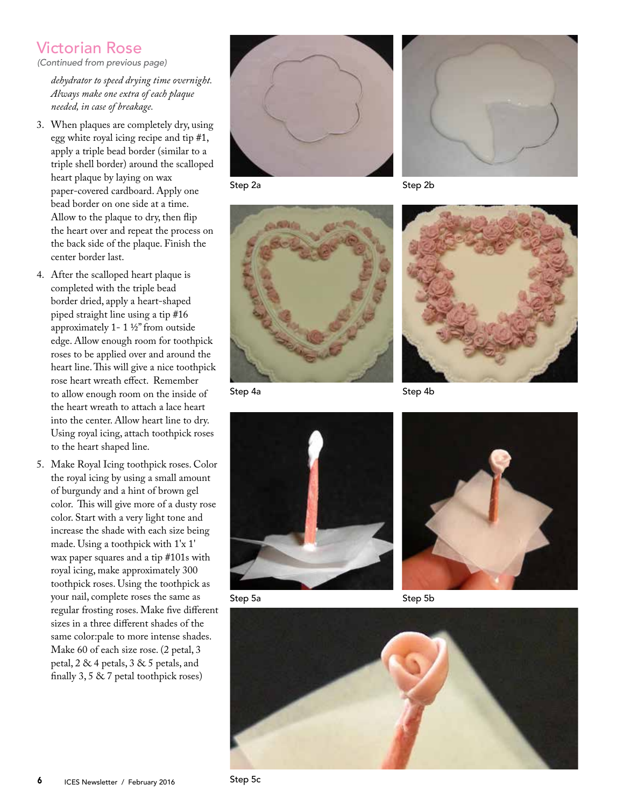# Victorian Rose

*(Continued from previous page)*

*dehydrator to speed drying time overnight. Always make one extra of each plaque needed, in case of breakage.* 

- 3. When plaques are completely dry, using egg white royal icing recipe and tip #1, apply a triple bead border (similar to a triple shell border) around the scalloped heart plaque by laying on wax paper-covered cardboard. Apply one bead border on one side at a time. Allow to the plaque to dry, then flip the heart over and repeat the process on the back side of the plaque. Finish the center border last.
- 4. After the scalloped heart plaque is completed with the triple bead border dried, apply a heart-shaped piped straight line using a tip #16 approximately 1- 1 ½" from outside edge. Allow enough room for toothpick roses to be applied over and around the heart line. This will give a nice toothpick rose heart wreath effect. Remember to allow enough room on the inside of the heart wreath to attach a lace heart into the center. Allow heart line to dry. Using royal icing, attach toothpick roses to the heart shaped line.
- 5. Make Royal Icing toothpick roses. Color the royal icing by using a small amount of burgundy and a hint of brown gel color. This will give more of a dusty rose color. Start with a very light tone and increase the shade with each size being made. Using a toothpick with 1'x 1' wax paper squares and a tip #101s with royal icing, make approximately 300 toothpick roses. Using the toothpick as your nail, complete roses the same as regular frosting roses. Make five different sizes in a three different shades of the same color:pale to more intense shades. Make 60 of each size rose. (2 petal, 3 petal, 2 & 4 petals, 3 & 5 petals, and finally 3, 5 & 7 petal toothpick roses)



Step 2a



Step 2b





Step 4a

Step 4b



Step 5a

Step 5b

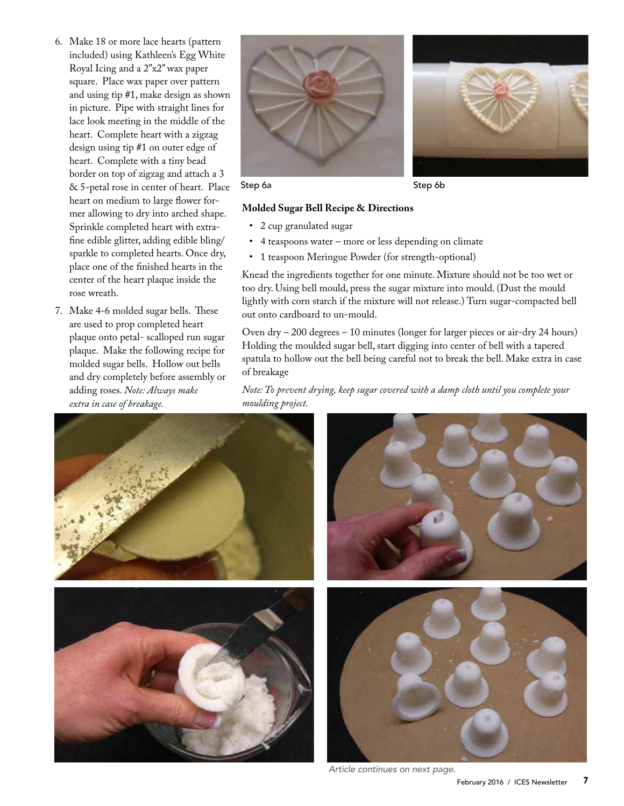- 6. Make 18 or more lace hearts (pattern included) using Kathleen's Egg White Royal Icing and a 2"x2" wax paper square. Place wax paper over pattern and using tip #1, make design as shown in picture. Pipe with straight lines for lace look meeting in the middle of the heart. Complete heart with a zigzag design using tip #1 on outer edge of heart. Complete with a tiny bead border on top of zigzag and attach a 3 & 5-petal rose in center of heart. Place heart on medium to large flower former allowing to dry into arched shape. Sprinkle completed heart with extrafine edible glitter, adding edible bling/ sparkle to completed hearts. Once dry, place one of the finished hearts in the center of the heart plaque inside the rose wreath.
- 7. Make 4-6 molded sugar bells. These are used to prop completed heart plaque onto petal- scalloped run sugar plaque. Make the following recipe for molded sugar bells. Hollow out bells and dry completely before assembly or adding roses. *Note: Always make extra in case of breakage.*





Step 6a Step 6b

### **Molded Sugar Bell Recipe & Directions**

- 2 cup granulated sugar
- 4 teaspoons water more or less depending on climate
- 1 teaspoon Meringue Powder (for strength‐optional)

Knead the ingredients together for one minute. Mixture should not be too wet or too dry. Using bell mould, press the sugar mixture into mould. (Dust the mould lightly with corn starch if the mixture will not release.) Turn sugar-compacted bell out onto cardboard to un-mould.

Oven dry – 200 degrees – 10 minutes (longer for larger pieces or air‐dry 24 hours) Holding the moulded sugar bell, start digging into center of bell with a tapered spatula to hollow out the bell being careful not to break the bell. Make extra in case of breakage

*Note: To prevent drying, keep sugar covered with a damp cloth until you complete your moulding project.* 



*Article continues on next page.*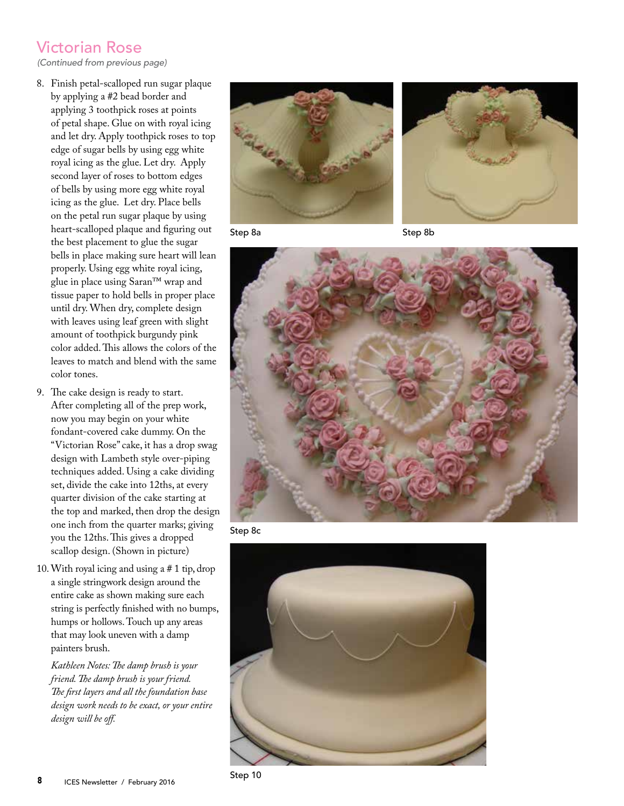# Victorian Rose

*(Continued from previous page)*

- 8. Finish petal-scalloped run sugar plaque by applying a #2 bead border and applying 3 toothpick roses at points of petal shape. Glue on with royal icing and let dry. Apply toothpick roses to top edge of sugar bells by using egg white royal icing as the glue. Let dry. Apply second layer of roses to bottom edges of bells by using more egg white royal icing as the glue. Let dry. Place bells on the petal run sugar plaque by using heart-scalloped plaque and figuring out the best placement to glue the sugar bells in place making sure heart will lean properly. Using egg white royal icing, glue in place using Saran™ wrap and tissue paper to hold bells in proper place until dry. When dry, complete design with leaves using leaf green with slight amount of toothpick burgundy pink color added. This allows the colors of the leaves to match and blend with the same color tones.
- 9. The cake design is ready to start. After completing all of the prep work, now you may begin on your white fondant-covered cake dummy. On the "Victorian Rose" cake, it has a drop swag design with Lambeth style over-piping techniques added. Using a cake dividing set, divide the cake into 12ths, at every quarter division of the cake starting at the top and marked, then drop the design one inch from the quarter marks; giving you the 12ths. This gives a dropped scallop design. (Shown in picture)
- 10.With royal icing and using a # 1 tip, drop a single stringwork design around the entire cake as shown making sure each string is perfectly finished with no bumps, humps or hollows. Touch up any areas that may look uneven with a damp painters brush.

*Kathleen Notes: The damp brush is your friend. The damp brush is your friend. The first layers and all the foundation base design work needs to be exact, or your entire design will be off.*





Step 8a





Step 8c